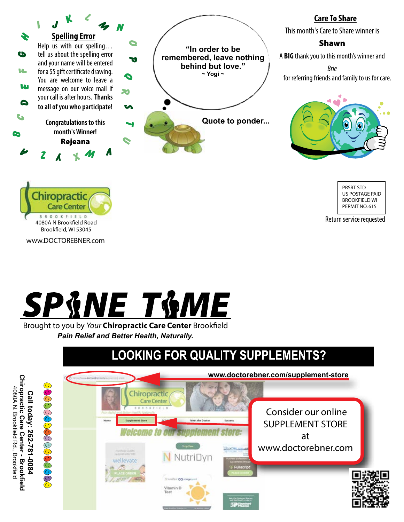

### **Care To Share**

This month's Care to Share winner is

### Shawn

A **BIG** thank you to this month's winner and

*Brie*  for referring friends and family to us for care.



PRSRT STD US POSTAGE PAID BROOKFIELD WI PERMIT NO. 615

Return service requested



4080A N Brookfield Road Brookfield, WI 53045

Chiropractic **Care Center BROOKFIELD** 

www.DOCTOREBNER.com

Brought to you by *Your* Chiropractic Care Center Brookfield *Pain Relief and Better Health, Naturally.*

# **LOOKING FOR QUALITY SUPPLEMENTS?**

Chiropractic Care Center - Brookfield<br>4080A N. Brookfield Rd., Brookfield **Chiropractic Care Center - Brookfield** 4080A N. Brookfield Rd., Brookfield Call today: 262-781-0084 **Call today: 262-781-0084**